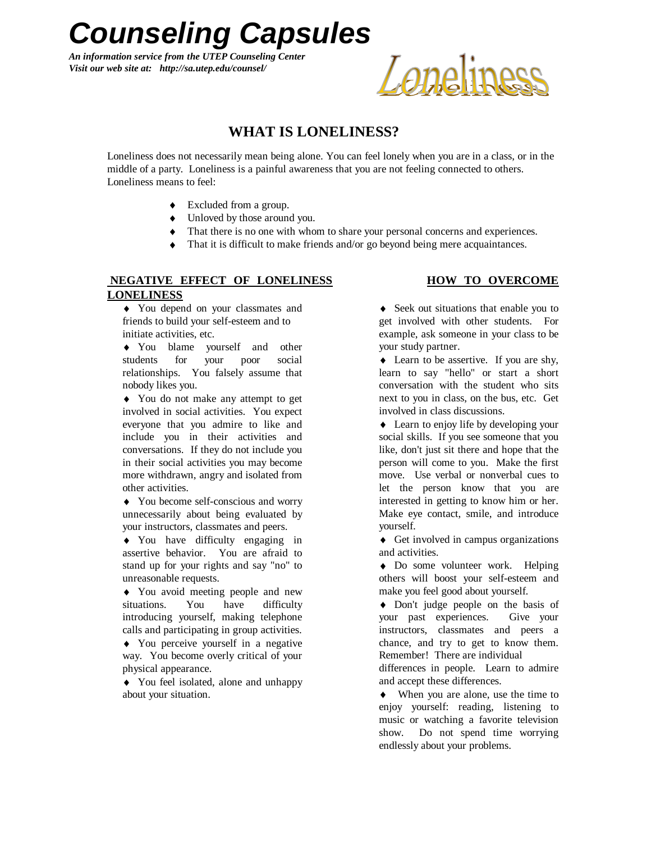*Counseling Capsules*

*An information service from the UTEP Counseling Center Visit our web site at: http://sa.utep.edu/counsel/*

# Loneliness

### **WHAT IS LONELINESS?**

Loneliness does not necessarily mean being alone. You can feel lonely when you are in a class, or in the middle of a party. Loneliness is a painful awareness that you are not feeling connected to others. Loneliness means to feel:

- Excluded from a group.
- $\bullet$  Unloved by those around you.
- $\bullet$  That there is no one with whom to share your personal concerns and experiences.
- That it is difficult to make friends and/or go beyond being mere acquaintances.

## **NEGATIVE EFFECT OF LONELINESS HOW TO OVERCOME LONELINESS**

You depend on your classmates and friends to build your self-esteem and to initiate activities, etc.

You blame yourself and other students for your poor social relationships. You falsely assume that nobody likes you.

You do not make any attempt to get involved in social activities. You expect everyone that you admire to like and include you in their activities and conversations. If they do not include you in their social activities you may become more withdrawn, angry and isolated from other activities.

You become self-conscious and worry unnecessarily about being evaluated by your instructors, classmates and peers.

You have difficulty engaging in assertive behavior. You are afraid to stand up for your rights and say "no" to unreasonable requests.

You avoid meeting people and new situations. You have difficulty introducing yourself, making telephone calls and participating in group activities.

You perceive yourself in a negative way. You become overly critical of your physical appearance.

You feel isolated, alone and unhappy about your situation.

• Seek out situations that enable you to get involved with other students. For example, ask someone in your class to be your study partner.

• Learn to be assertive. If you are shy, learn to say "hello" or start a short conversation with the student who sits next to you in class, on the bus, etc. Get involved in class discussions.

• Learn to enjoy life by developing your social skills. If you see someone that you like, don't just sit there and hope that the person will come to you. Make the first move. Use verbal or nonverbal cues to let the person know that you are interested in getting to know him or her. Make eye contact, smile, and introduce yourself.

 $\triangleleft$  Get involved in campus organizations and activities.

Do some volunteer work. Helping others will boost your self-esteem and make you feel good about yourself.

• Don't judge people on the basis of your past experiences. Give your instructors, classmates and peers a chance, and try to get to know them. Remember! There are individual

differences in people. Learn to admire and accept these differences.

When you are alone, use the time to enjoy yourself: reading, listening to music or watching a favorite television show. Do not spend time worrying endlessly about your problems.